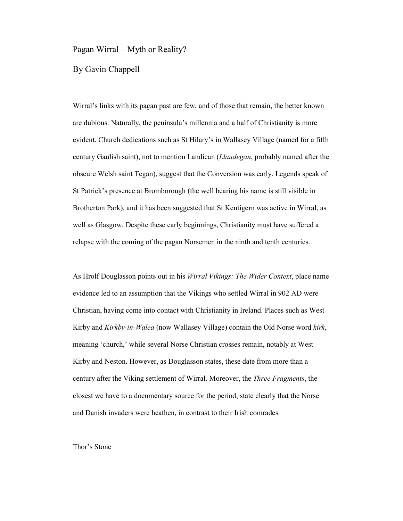## Pagan Wirral – Myth or Reality?

By Gavin Chappell

Wirral's links with its pagan past are few, and of those that remain, the better known are dubious. Naturally, the peninsula's millennia and a half of Christianity is more evident. Church dedications such as St Hilary's in Wallasey Village (named for a fifth century Gaulish saint), not to mention Landican (*Llandegan*, probably named after the obscure Welsh saint Tegan), suggest that the Conversion was early. Legends speak of St Patrick's presence at Bromborough (the well bearing his name is still visible in Brotherton Park), and it has been suggested that St Kentigern was active in Wirral, as well as Glasgow. Despite these early beginnings, Christianity must have suffered a relapse with the coming of the pagan Norsemen in the ninth and tenth centuries.

As Hrolf Douglasson points out in his *Wirral Vikings: The Wider Context*, place name evidence led to an assumption that the Vikings who settled Wirral in 902 AD were Christian, having come into contact with Christianity in Ireland. Places such as West Kirby and *Kirkby-in-Walea* (now Wallasey Village) contain the Old Norse word *kirk*, meaning 'church,' while several Norse Christian crosses remain, notably at West Kirby and Neston. However, as Douglasson states, these date from more than a century after the Viking settlement of Wirral. Moreover, the *Three Fragments*, the closest we have to a documentary source for the period, state clearly that the Norse and Danish invaders were heathen, in contrast to their Irish comrades.

## Thor's Stone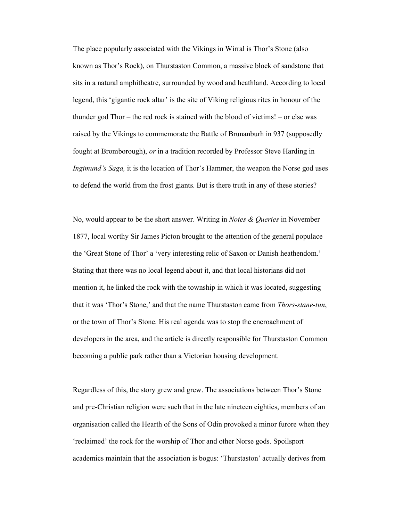The place popularly associated with the Vikings in Wirral is Thor's Stone (also known as Thor's Rock), on Thurstaston Common, a massive block of sandstone that sits in a natural amphitheatre, surrounded by wood and heathland. According to local legend, this 'gigantic rock altar' is the site of Viking religious rites in honour of the thunder god Thor – the red rock is stained with the blood of victims! – or else was raised by the Vikings to commemorate the Battle of Brunanburh in 937 (supposedly fought at Bromborough), *or* in a tradition recorded by Professor Steve Harding in *Ingimund's Saga,* it is the location of Thor's Hammer, the weapon the Norse god uses to defend the world from the frost giants. But is there truth in any of these stories?

No, would appear to be the short answer. Writing in *Notes & Queries* in November 1877, local worthy Sir James Picton brought to the attention of the general populace the 'Great Stone of Thor' a 'very interesting relic of Saxon or Danish heathendom.' Stating that there was no local legend about it, and that local historians did not mention it, he linked the rock with the township in which it was located, suggesting that it was 'Thor's Stone,' and that the name Thurstaston came from *Thors-stane-tun*, or the town of Thor's Stone. His real agenda was to stop the encroachment of developers in the area, and the article is directly responsible for Thurstaston Common becoming a public park rather than a Victorian housing development.

Regardless of this, the story grew and grew. The associations between Thor's Stone and pre-Christian religion were such that in the late nineteen eighties, members of an organisation called the Hearth of the Sons of Odin provoked a minor furore when they 'reclaimed' the rock for the worship of Thor and other Norse gods. Spoilsport academics maintain that the association is bogus: 'Thurstaston' actually derives from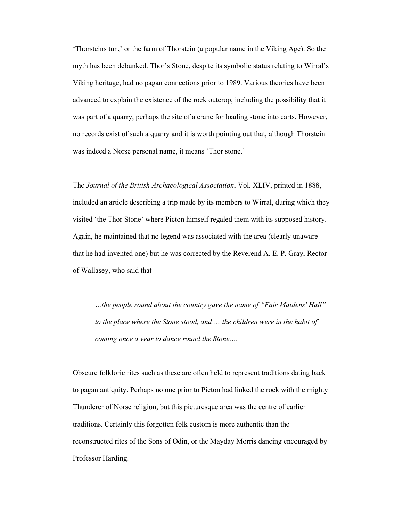'Thorsteins tun,' or the farm of Thorstein (a popular name in the Viking Age). So the myth has been debunked. Thor's Stone, despite its symbolic status relating to Wirral's Viking heritage, had no pagan connections prior to 1989. Various theories have been advanced to explain the existence of the rock outcrop, including the possibility that it was part of a quarry, perhaps the site of a crane for loading stone into carts. However, no records exist of such a quarry and it is worth pointing out that, although Thorstein was indeed a Norse personal name, it means 'Thor stone.'

The *Journal of the British Archaeological Association*, Vol. XLIV, printed in 1888, included an article describing a trip made by its members to Wirral, during which they visited 'the Thor Stone' where Picton himself regaled them with its supposed history. Again, he maintained that no legend was associated with the area (clearly unaware that he had invented one) but he was corrected by the Reverend A. E. P. Gray, Rector of Wallasey, who said that

*…the people round about the country gave the name of "Fair Maidens' Hall" to the place where the Stone stood, and … the children were in the habit of coming once a year to dance round the Stone….* 

Obscure folkloric rites such as these are often held to represent traditions dating back to pagan antiquity. Perhaps no one prior to Picton had linked the rock with the mighty Thunderer of Norse religion, but this picturesque area was the centre of earlier traditions. Certainly this forgotten folk custom is more authentic than the reconstructed rites of the Sons of Odin, or the Mayday Morris dancing encouraged by Professor Harding.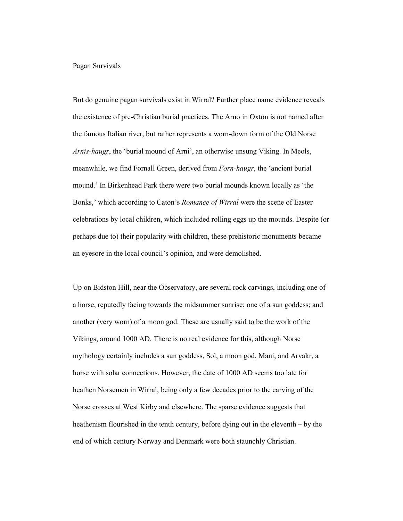#### Pagan Survivals

But do genuine pagan survivals exist in Wirral? Further place name evidence reveals the existence of pre-Christian burial practices. The Arno in Oxton is not named after the famous Italian river, but rather represents a worn-down form of the Old Norse *Arnis-haugr*, the 'burial mound of Arni', an otherwise unsung Viking. In Meols, meanwhile, we find Fornall Green, derived from *Forn-haugr*, the 'ancient burial mound.' In Birkenhead Park there were two burial mounds known locally as 'the Bonks,' which according to Caton's *Romance of Wirral* were the scene of Easter celebrations by local children, which included rolling eggs up the mounds. Despite (or perhaps due to) their popularity with children, these prehistoric monuments became an eyesore in the local council's opinion, and were demolished.

Up on Bidston Hill, near the Observatory, are several rock carvings, including one of a horse, reputedly facing towards the midsummer sunrise; one of a sun goddess; and another (very worn) of a moon god. These are usually said to be the work of the Vikings, around 1000 AD. There is no real evidence for this, although Norse mythology certainly includes a sun goddess, Sol, a moon god, Mani, and Arvakr, a horse with solar connections. However, the date of 1000 AD seems too late for heathen Norsemen in Wirral, being only a few decades prior to the carving of the Norse crosses at West Kirby and elsewhere. The sparse evidence suggests that heathenism flourished in the tenth century, before dying out in the eleventh – by the end of which century Norway and Denmark were both staunchly Christian.